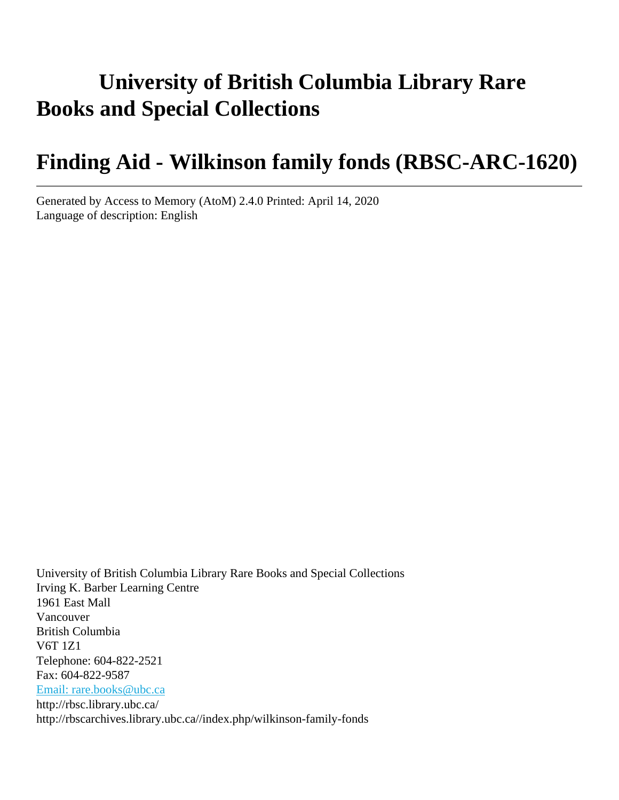# **University of British Columbia Library Rare Books and Special Collections**

# **Finding Aid - Wilkinson family fonds (RBSC-ARC-1620)**

Generated by Access to Memory (AtoM) 2.4.0 Printed: April 14, 2020 Language of description: English

University of British Columbia Library Rare Books and Special Collections Irving K. Barber Learning Centre 1961 East Mall Vancouver British Columbia V6T 1Z1 Telephone: 604-822-2521 Fax: 604-822-9587 [Email: rare.books@ubc.ca](mailto:Email: rare.books@ubc.ca) http://rbsc.library.ubc.ca/ http://rbscarchives.library.ubc.ca//index.php/wilkinson-family-fonds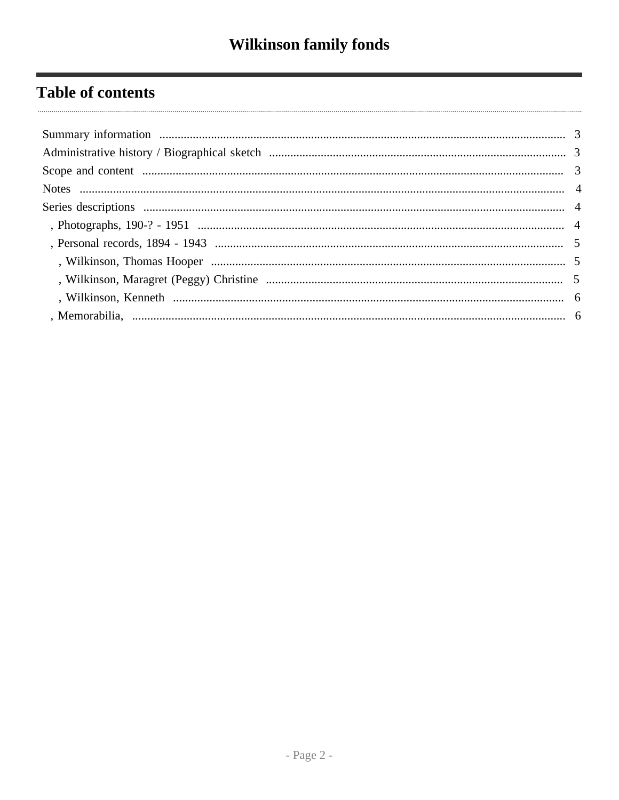## **Table of contents**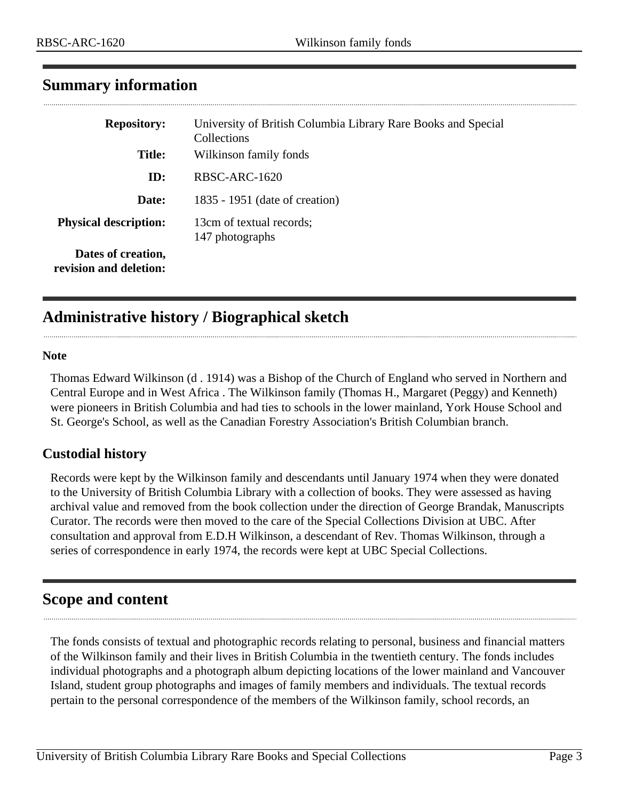| <b>Repository:</b>                           | University of British Columbia Library Rare Books and Special<br>Collections |
|----------------------------------------------|------------------------------------------------------------------------------|
| <b>Title:</b>                                | Wilkinson family fonds                                                       |
| ID:                                          | RBSC-ARC-1620                                                                |
| Date:                                        | 1835 - 1951 (date of creation)                                               |
| <b>Physical description:</b>                 | 13cm of textual records;<br>147 photographs                                  |
| Dates of creation,<br>revision and deletion: |                                                                              |

### <span id="page-2-0"></span>**Summary information**

## <span id="page-2-1"></span>**Administrative history / Biographical sketch**

### **Note**

 $\ddotsc$ 

Thomas Edward Wilkinson (d . 1914) was a Bishop of the Church of England who served in Northern and Central Europe and in West Africa . The Wilkinson family (Thomas H., Margaret (Peggy) and Kenneth) were pioneers in British Columbia and had ties to schools in the lower mainland, York House School and St. George's School, as well as the Canadian Forestry Association's British Columbian branch.

### **Custodial history**

Records were kept by the Wilkinson family and descendants until January 1974 when they were donated to the University of British Columbia Library with a collection of books. They were assessed as having archival value and removed from the book collection under the direction of George Brandak, Manuscripts Curator. The records were then moved to the care of the Special Collections Division at UBC. After consultation and approval from E.D.H Wilkinson, a descendant of Rev. Thomas Wilkinson, through a series of correspondence in early 1974, the records were kept at UBC Special Collections.

### <span id="page-2-2"></span>**Scope and content**

The fonds consists of textual and photographic records relating to personal, business and financial matters of the Wilkinson family and their lives in British Columbia in the twentieth century. The fonds includes individual photographs and a photograph album depicting locations of the lower mainland and Vancouver Island, student group photographs and images of family members and individuals. The textual records pertain to the personal correspondence of the members of the Wilkinson family, school records, an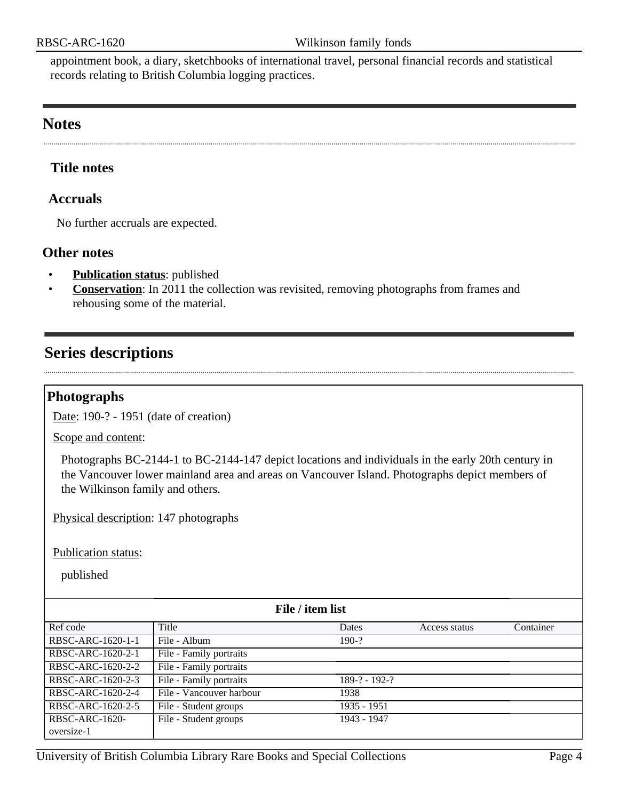appointment book, a diary, sketchbooks of international travel, personal financial records and statistical records relating to British Columbia logging practices.

### <span id="page-3-0"></span>**Notes** . . . . . . . . . . . . . . . . . .

### **Title notes**

### **Accruals**

No further accruals are expected.

### **Other notes**

- **Publication status**: published
- **Conservation**: In 2011 the collection was revisited, removing photographs from frames and rehousing some of the material.

### <span id="page-3-1"></span>**Series descriptions**

### <span id="page-3-2"></span>**Photographs**

Date: 190-? - 1951 (date of creation)

Scope and content:

Photographs BC-2144-1 to BC-2144-147 depict locations and individuals in the early 20th century in the Vancouver lower mainland area and areas on Vancouver Island. Photographs depict members of the Wilkinson family and others.

Physical description: 147 photographs

Publication status:

published

| File / item list  |                          |                 |               |           |  |
|-------------------|--------------------------|-----------------|---------------|-----------|--|
| Ref code          | Title                    | Dates           | Access status | Container |  |
| RBSC-ARC-1620-1-1 | File - Album             | $190-?$         |               |           |  |
| RBSC-ARC-1620-2-1 | File - Family portraits  |                 |               |           |  |
| RBSC-ARC-1620-2-2 | File - Family portraits  |                 |               |           |  |
| RBSC-ARC-1620-2-3 | File - Family portraits  | $189-? - 192-?$ |               |           |  |
| RBSC-ARC-1620-2-4 | File - Vancouver harbour | 1938            |               |           |  |
| RBSC-ARC-1620-2-5 | File - Student groups    | 1935 - 1951     |               |           |  |
| RBSC-ARC-1620-    | File - Student groups    | 1943 - 1947     |               |           |  |
| oversize-1        |                          |                 |               |           |  |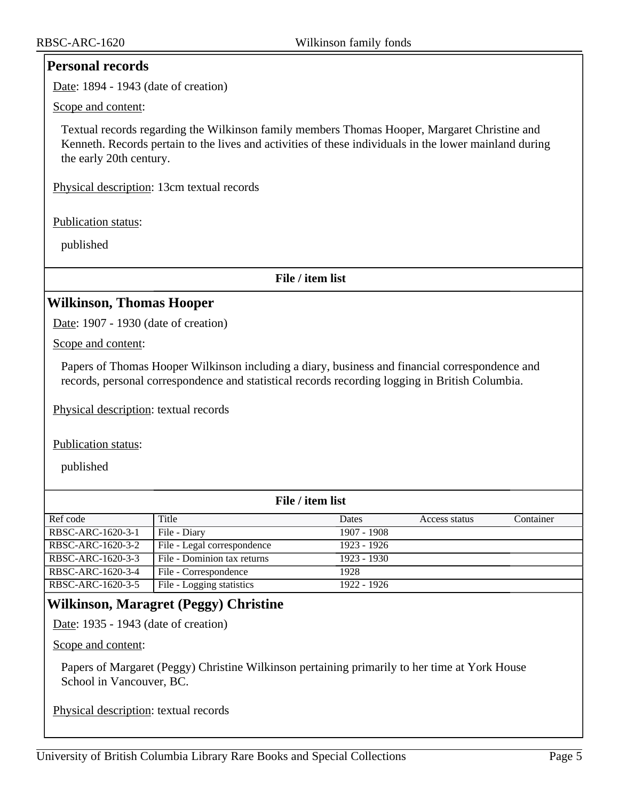### <span id="page-4-0"></span>**Personal records**

Date: 1894 - 1943 (date of creation)

Scope and content:

Textual records regarding the Wilkinson family members Thomas Hooper, Margaret Christine and Kenneth. Records pertain to the lives and activities of these individuals in the lower mainland during the early 20th century.

Physical description: 13cm textual records

Publication status:

published

**File / item list**

### <span id="page-4-1"></span>**Wilkinson, Thomas Hooper**

Date: 1907 - 1930 (date of creation)

Scope and content:

Papers of Thomas Hooper Wilkinson including a diary, business and financial correspondence and records, personal correspondence and statistical records recording logging in British Columbia.

Physical description: textual records

Publication status:

published

| File / item list  |                             |             |               |           |  |  |
|-------------------|-----------------------------|-------------|---------------|-----------|--|--|
| Ref code          | Title                       | Dates       | Access status | Container |  |  |
| RBSC-ARC-1620-3-1 | File - Diary                | 1907 - 1908 |               |           |  |  |
| RBSC-ARC-1620-3-2 | File - Legal correspondence | 1923 - 1926 |               |           |  |  |
| RBSC-ARC-1620-3-3 | File - Dominion tax returns | 1923 - 1930 |               |           |  |  |
| RBSC-ARC-1620-3-4 | File - Correspondence       | 1928        |               |           |  |  |
| RBSC-ARC-1620-3-5 | File - Logging statistics   | 1922 - 1926 |               |           |  |  |

### <span id="page-4-2"></span>**Wilkinson, Maragret (Peggy) Christine**

Date: 1935 - 1943 (date of creation)

Scope and content:

Papers of Margaret (Peggy) Christine Wilkinson pertaining primarily to her time at York House School in Vancouver, BC.

Physical description: textual records